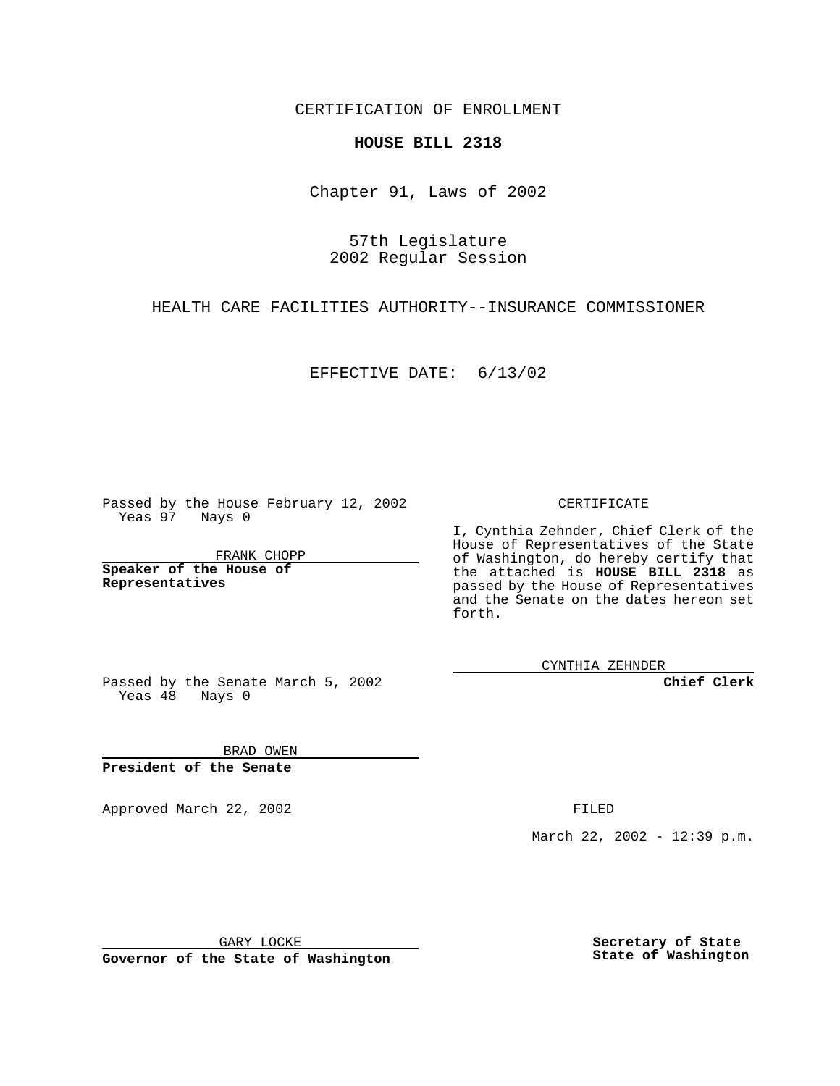CERTIFICATION OF ENROLLMENT

## **HOUSE BILL 2318**

Chapter 91, Laws of 2002

57th Legislature 2002 Regular Session

HEALTH CARE FACILITIES AUTHORITY--INSURANCE COMMISSIONER

EFFECTIVE DATE: 6/13/02

Passed by the House February 12, 2002 Yeas 97 Nays 0

FRANK CHOPP

**Speaker of the House of Representatives**

CERTIFICATE

I, Cynthia Zehnder, Chief Clerk of the House of Representatives of the State of Washington, do hereby certify that the attached is **HOUSE BILL 2318** as passed by the House of Representatives and the Senate on the dates hereon set forth.

CYNTHIA ZEHNDER

**Chief Clerk**

Passed by the Senate March 5, 2002 Yeas  $48$  Nays 0

BRAD OWEN **President of the Senate**

Approved March 22, 2002 **FILED** 

March 22, 2002 - 12:39 p.m.

GARY LOCKE

**Governor of the State of Washington**

**Secretary of State State of Washington**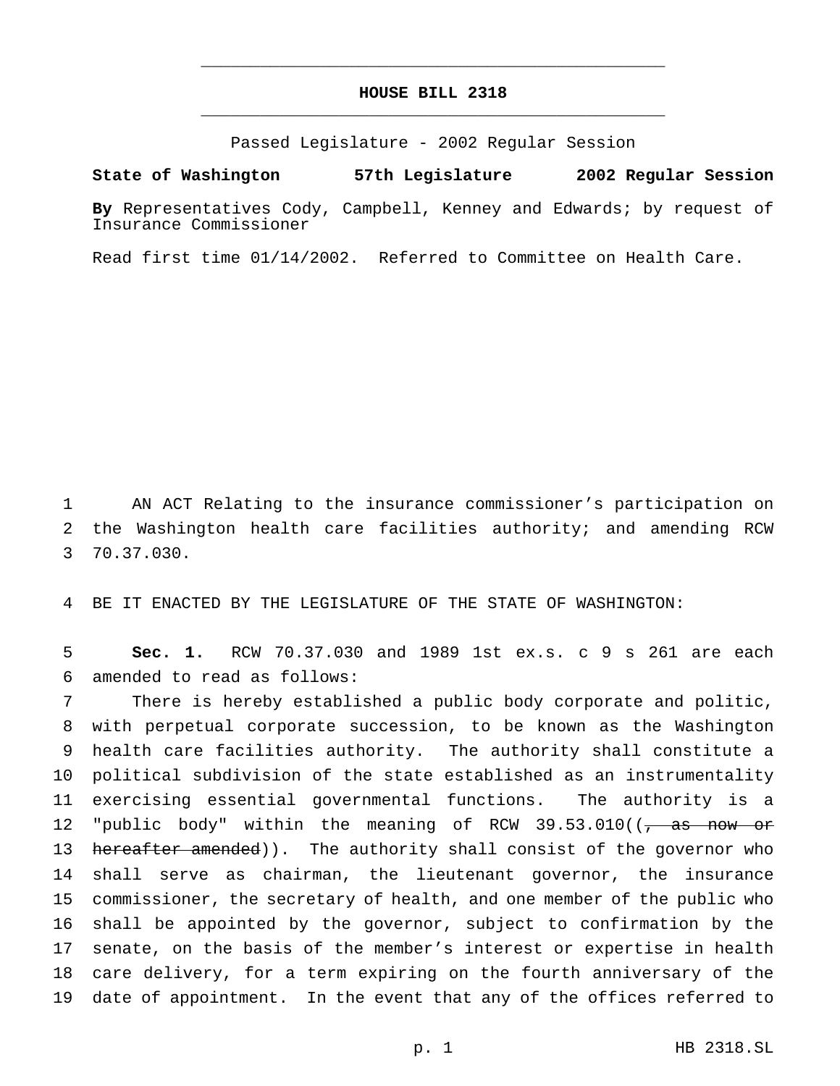## **HOUSE BILL 2318** \_\_\_\_\_\_\_\_\_\_\_\_\_\_\_\_\_\_\_\_\_\_\_\_\_\_\_\_\_\_\_\_\_\_\_\_\_\_\_\_\_\_\_\_\_\_\_

\_\_\_\_\_\_\_\_\_\_\_\_\_\_\_\_\_\_\_\_\_\_\_\_\_\_\_\_\_\_\_\_\_\_\_\_\_\_\_\_\_\_\_\_\_\_\_

Passed Legislature - 2002 Regular Session

## **State of Washington 57th Legislature 2002 Regular Session**

**By** Representatives Cody, Campbell, Kenney and Edwards; by request of Insurance Commissioner

Read first time 01/14/2002. Referred to Committee on Health Care.

 AN ACT Relating to the insurance commissioner's participation on the Washington health care facilities authority; and amending RCW 70.37.030.

BE IT ENACTED BY THE LEGISLATURE OF THE STATE OF WASHINGTON:

 **Sec. 1.** RCW 70.37.030 and 1989 1st ex.s. c 9 s 261 are each amended to read as follows:

 There is hereby established a public body corporate and politic, with perpetual corporate succession, to be known as the Washington health care facilities authority. The authority shall constitute a political subdivision of the state established as an instrumentality exercising essential governmental functions. The authority is a 12 "public body" within the meaning of RCW 39.53.010( $\left(\frac{\pi}{6}, \frac{\pi}{6}\right)$  now or 13 hereafter amended)). The authority shall consist of the governor who shall serve as chairman, the lieutenant governor, the insurance commissioner, the secretary of health, and one member of the public who shall be appointed by the governor, subject to confirmation by the senate, on the basis of the member's interest or expertise in health care delivery, for a term expiring on the fourth anniversary of the date of appointment. In the event that any of the offices referred to